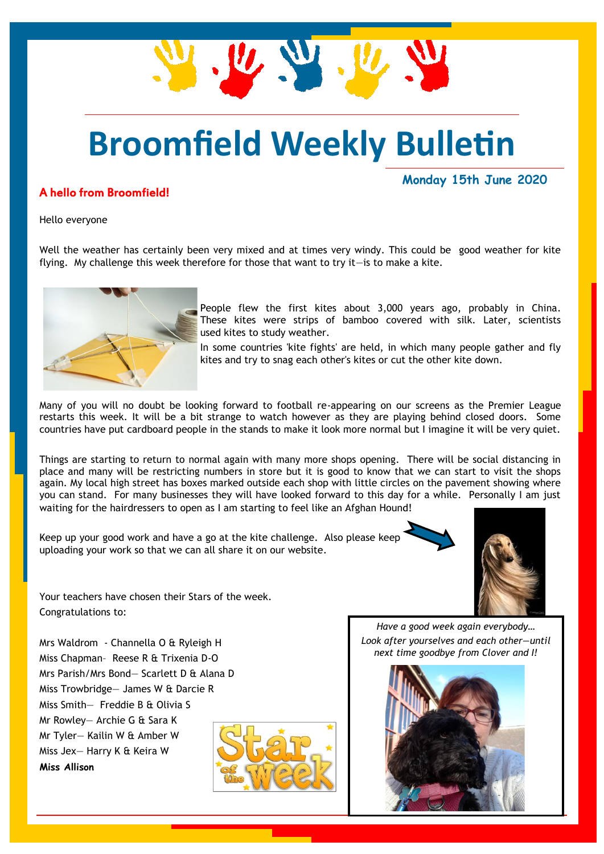# **Broomfield Weekly Bulletin**

 $\mathbf{u} \in \mathbb{R}$ 

#### A hello from Broomfield!

**Monday 15th June 2020**

Hello everyone

Well the weather has certainly been very mixed and at times very windy. This could be good weather for kite flying. My challenge this week therefore for those that want to try it—is to make a kite.



People flew the first kites about 3,000 years ago, probably in China. These kites were strips of bamboo covered with silk. Later, scientists used kites to study weather.

In some countries 'kite fights' are held, in which many people gather and fly kites and try to snag each other's kites or cut the other kite down.

Many of you will no doubt be looking forward to football re-appearing on our screens as the Premier League restarts this week. It will be a bit strange to watch however as they are playing behind closed doors. Some countries have put cardboard people in the stands to make it look more normal but I imagine it will be very quiet.

Things are starting to return to normal again with many more shops opening. There will be social distancing in place and many will be restricting numbers in store but it is good to know that we can start to visit the shops again. My local high street has boxes marked outside each shop with little circles on the pavement showing where you can stand. For many businesses they will have looked forward to this day for a while. Personally I am just waiting for the hairdressers to open as I am starting to feel like an Afghan Hound!

Keep up your good work and have a go at the kite challenge. Also please keep uploading your work so that we can all share it on our website.



Your teachers have chosen their Stars of the week. Congratulations to:

Mrs Waldrom - Channella O & Ryleigh H Miss Chapman– Reese R & Trixenia D-O Mrs Parish/Mrs Bond— Scarlett D & Alana D Miss Trowbridge— James W & Darcie R Miss Smith— Freddie B & Olivia S Mr Rowley— Archie G & Sara K Mr Tyler— Kailin W & Amber W Miss Jex— Harry K & Keira W **Miss Allison**



*Have a good week again everybody… Look after yourselves and each other—until next time goodbye from Clover and I!*